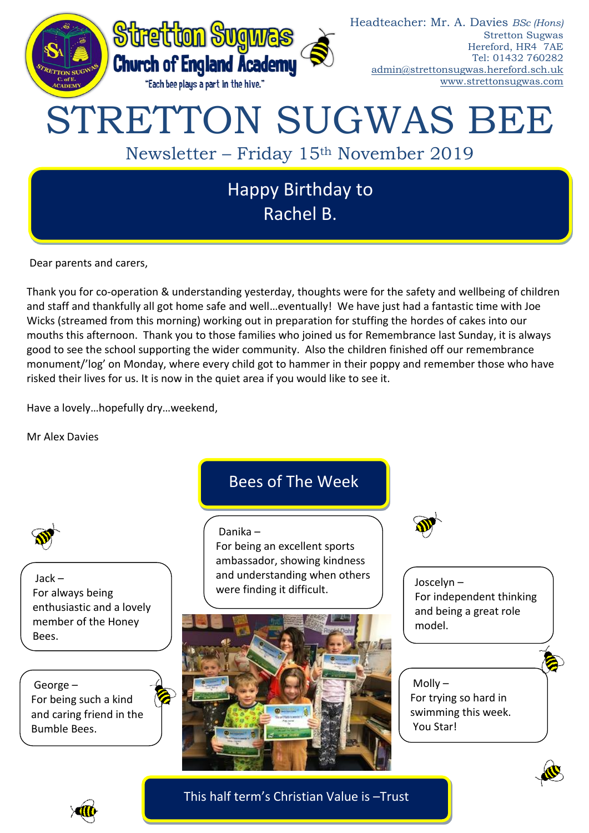

Dear parents and carers,

Thank you for co-operation & understanding yesterday, thoughts were for the safety and wellbeing of children and staff and thankfully all got home safe and well…eventually! We have just had a fantastic time with Joe Wicks (streamed from this morning) working out in preparation for stuffing the hordes of cakes into our mouths this afternoon. Thank you to those families who joined us for Remembrance last Sunday, it is always good to see the school supporting the wider community. Also the children finished off our remembrance monument/'log' on Monday, where every child got to hammer in their poppy and remember those who have risked their lives for us. It is now in the quiet area if you would like to see it.

Have a lovely…hopefully dry…weekend,

Mr Alex Davies



Jack – For always being enthusiastic and a lovely member of the Honey Bees.

George – For being such a kind and caring friend in the Bumble Bees.

# Bees of The Week

# Danika –

For being an excellent sports ambassador, showing kindness and understanding when others were finding it difficult.



Joscelyn – For independent thinking and being a great role model.

Molly – For trying so hard in swimming this week. You Star!